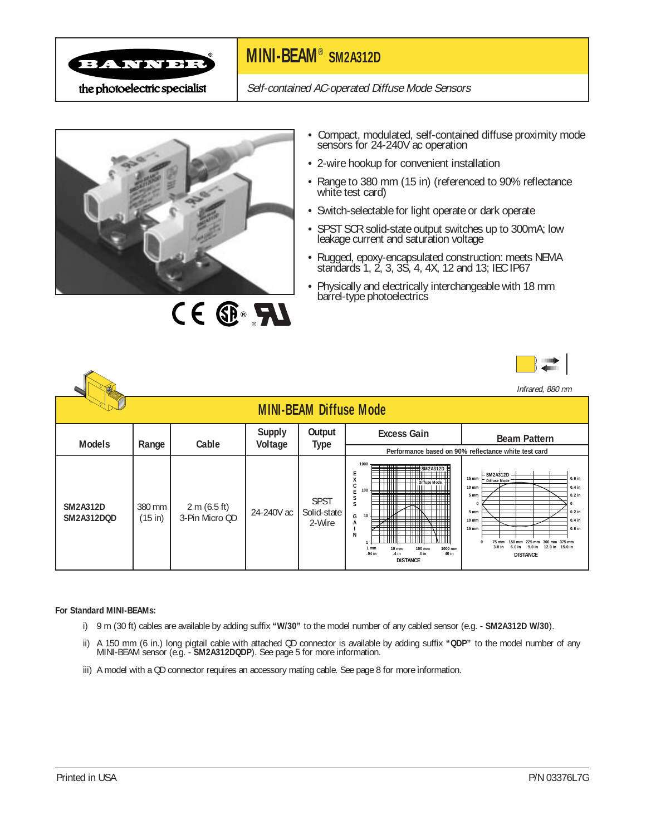

## **MINI-BEAM® SM2A312D**

Self-contained AC-operated Diffuse Mode Sensors



CE ® FU

- Compact, modulated, self-contained diffuse proximity mode sensors for 24-240V ac operation
- 2-wire hookup for convenient installation
- Range to 380 mm (15 in) (referenced to 90% reflectance white test card)
- Switch-selectable for light operate or dark operate
- SPST SCR solid-state output switches up to 300mA; low leakage current and saturation voltage
- Rugged, epoxy-encapsulated construction: meets NEMA standards 1, 2, 3, 3S, 4, 4X, 12 and 13; IEC IP67
- Physically and electrically interchangeable with 18 mm barrel-type photoelectrics

|--|--|

|                                      |                     |                                |                          |                                      |                                                                                                                                                                                                         | Infrared, 880 nm                                                                                                                                                                                                                                                                                        |
|--------------------------------------|---------------------|--------------------------------|--------------------------|--------------------------------------|---------------------------------------------------------------------------------------------------------------------------------------------------------------------------------------------------------|---------------------------------------------------------------------------------------------------------------------------------------------------------------------------------------------------------------------------------------------------------------------------------------------------------|
|                                      |                     |                                |                          | <b>MINI-BEAM Diffuse Mode</b>        |                                                                                                                                                                                                         |                                                                                                                                                                                                                                                                                                         |
| <b>Models</b>                        | Range               | Cable                          | <b>Supply</b><br>Voltage | Output<br><b>Type</b>                | <b>Excess Gain</b>                                                                                                                                                                                      | <b>Beam Pattern</b>                                                                                                                                                                                                                                                                                     |
|                                      |                     |                                |                          |                                      |                                                                                                                                                                                                         | Performance based on 90% reflectance white test card                                                                                                                                                                                                                                                    |
| <b>SM2A312D</b><br><b>SM2A312DQD</b> | 380 mm<br>$(15$ in) | 2 m (6.5 ft)<br>3-Pin Micro QD | 24-240V ac               | <b>SPST</b><br>Solid-state<br>2-Wire | 1000<br>$\pm$ \$M2A312D<br>Ε<br>X<br><b>Diffuse Mode</b><br>100<br>▀<br>S<br>s<br>10<br>G<br>A<br>N<br>1000 mm<br><b>10 mm</b><br>100 mm<br>1 mm<br>.04 in<br>.4 in<br>4 in<br>40 in<br><b>DISTANCE</b> | <b>SM2A312D</b><br>15 mm<br>$0.6$ in<br>Diffuse Mode<br>10 mm<br>$0.4$ in<br>$0.2$ in<br>5 mm<br>$0.2$ in<br>5 mm<br>10 mm<br>$0.4$ in<br>$0.6$ in<br>15 mm<br>300 mm 375 mm<br>$75 \text{ mm}$<br>$225 \, \text{mm}$<br>15.0 in<br>3.0 in<br>6.0 in<br>12.0 <sub>in</sub><br>9.0 in<br><b>DISTANCE</b> |

#### **For Standard MINI-BEAMs:**

- i) 9 m (30 ft) cables are available by adding suffix **"W/30"** to the model number of any cabled sensor (e.g. **SM2A312D W/30**).
- ii) A 150 mm (6 in.) long pigtail cable with attached QD connector is available by adding suffix **"QDP"** to the model number of any MINI-BEAM sensor (e.g. - **SM2A312DQDP**). See page 5 for more information.
- iii) A model with a QD connector requires an accessory mating cable. See page 8 for more information.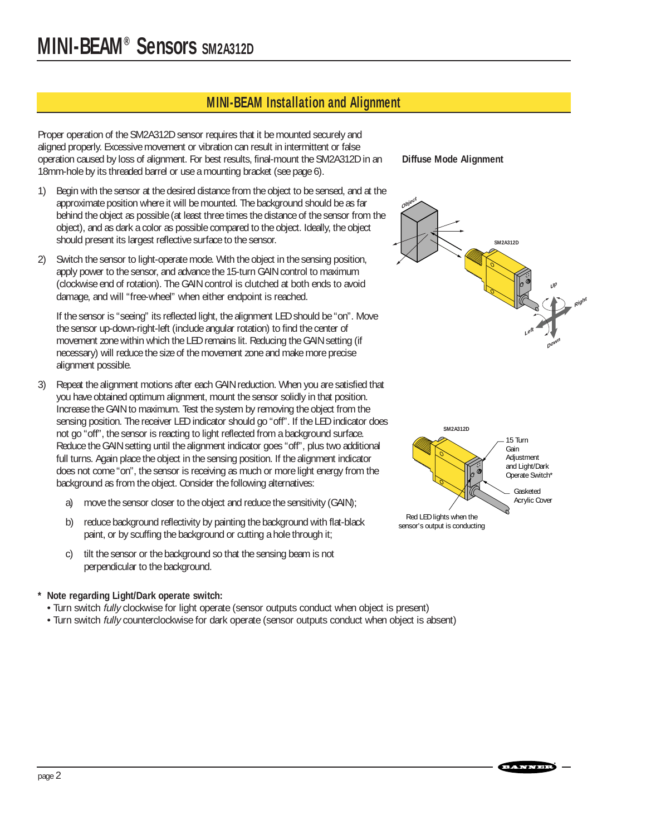### **MINI-BEAM Installation and Alignment**

Proper operation of the SM2A312D sensor requires that it be mounted securely and aligned properly. Excessive movement or vibration can result in intermittent or false operation caused by loss of alignment. For best results, final-mount the SM2A312D in an 18mm-hole by its threaded barrel or use a mounting bracket (see page 6).

- 1) Begin with the sensor at the desired distance from the object to be sensed, and at the approximate position where it will be mounted. The background should be as far behind the object as possible (at least three times the distance of the sensor from the object), and as dark a color as possible compared to the object. Ideally, the object should present its largest reflective surface to the sensor.
- 2) Switch the sensor to light-operate mode. With the object in the sensing position, apply power to the sensor, and advance the 15-turn GAIN control to maximum (clockwise end of rotation). The GAIN control is clutched at both ends to avoid damage, and will "free-wheel" when either endpoint is reached.

If the sensor is "seeing" its reflected light, the alignment LED should be "on". Move the sensor up-down-right-left (include angular rotation) to find the center of movement zone within which the LED remains lit. Reducing the GAIN setting (if necessary) will reduce the size of the movement zone and make more precise alignment possible.

- 3) Repeat the alignment motions after each GAIN reduction. When you are satisfied that you have obtained optimum alignment, mount the sensor solidly in that position. Increase the GAIN to maximum. Test the system by removing the object from the sensing position. The receiver LED indicator should go "off". If the LED indicator does not go "off", the sensor is reacting to light reflected from a background surface. Reduce the GAIN setting until the alignment indicator goes "off", plus two additional full turns. Again place the object in the sensing position. If the alignment indicator does not come "on", the sensor is receiving as much or more light energy from the background as from the object. Consider the following alternatives:
	- a) move the sensor closer to the object and reduce the sensitivity (GAIN);
	- b) reduce background reflectivity by painting the background with flat-black paint, or by scuffing the background or cutting a hole through it;
	- c) tilt the sensor or the background so that the sensing beam is not perpendicular to the background.

#### **\* Note regarding Light/Dark operate switch:**

- Turn switch fully clockwise for light operate (sensor outputs conduct when object is present)
- Turn switch fully counterclockwise for dark operate (sensor outputs conduct when object is absent)

**Diffuse Mode Alignment**





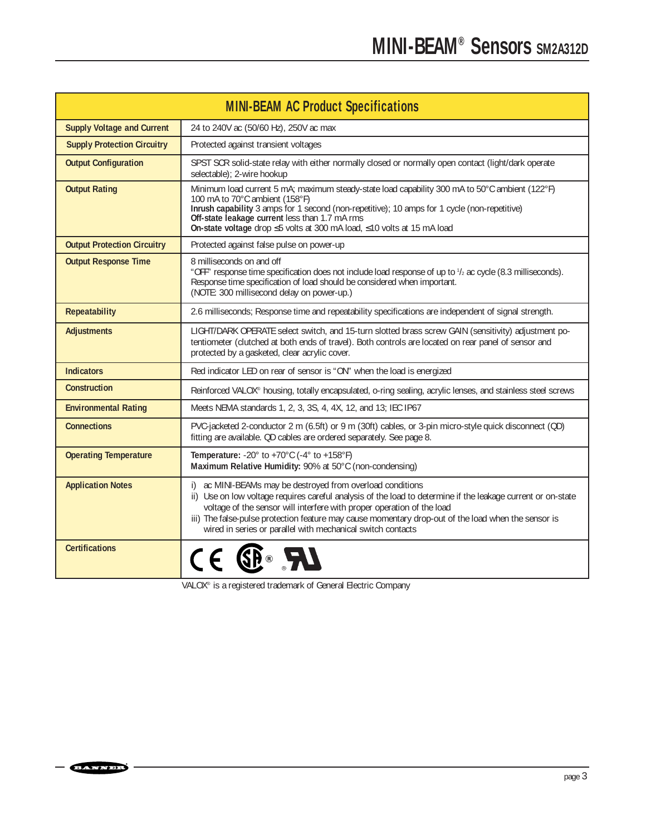|                                    | <b>MINI-BEAM AC Product Specifications</b>                                                                                                                                                                                                                                                                                                                                                                                 |
|------------------------------------|----------------------------------------------------------------------------------------------------------------------------------------------------------------------------------------------------------------------------------------------------------------------------------------------------------------------------------------------------------------------------------------------------------------------------|
| <b>Supply Voltage and Current</b>  | 24 to 240V ac (50/60 Hz), 250V ac max                                                                                                                                                                                                                                                                                                                                                                                      |
| <b>Supply Protection Circuitry</b> | Protected against transient voltages                                                                                                                                                                                                                                                                                                                                                                                       |
| <b>Output Configuration</b>        | SPST SCR solid-state relay with either normally closed or normally open contact (light/dark operate<br>selectable); 2-wire hookup                                                                                                                                                                                                                                                                                          |
| <b>Output Rating</b>               | Minimum load current 5 mA; maximum steady-state load capability 300 mA to 50°C ambient (122°F)<br>100 mA to 70°C ambient (158°F)<br>Inrush capability 3 amps for 1 second (non-repetitive); 10 amps for 1 cycle (non-repetitive)<br>Off-state leakage current less than 1.7 mA rms<br>On-state voltage drop ≤5 volts at 300 mA load, ≤10 volts at 15 mA load                                                               |
| <b>Output Protection Circuitry</b> | Protected against false pulse on power-up                                                                                                                                                                                                                                                                                                                                                                                  |
| <b>Output Response Time</b>        | 8 milliseconds on and off<br>"OFF" response time specification does not include load response of up to $\frac{1}{2}$ ac cycle (8.3 milliseconds).<br>Response time specification of load should be considered when important.<br>(NOTE: 300 millisecond delay on power-up.)                                                                                                                                                |
| <b>Repeatability</b>               | 2.6 milliseconds; Response time and repeatability specifications are independent of signal strength.                                                                                                                                                                                                                                                                                                                       |
| <b>Adjustments</b>                 | LIGHT/DARK OPERATE select switch, and 15-turn slotted brass screw GAIN (sensitivity) adjustment po-<br>tentiometer (clutched at both ends of travel). Both controls are located on rear panel of sensor and<br>protected by a gasketed, clear acrylic cover.                                                                                                                                                               |
| <b>Indicators</b>                  | Red indicator LED on rear of sensor is "ON" when the load is energized                                                                                                                                                                                                                                                                                                                                                     |
| Construction                       | Reinforced VALOX® housing, totally encapsulated, o-ring sealing, acrylic lenses, and stainless steel screws                                                                                                                                                                                                                                                                                                                |
| <b>Environmental Rating</b>        | Meets NEMA standards 1, 2, 3, 3S, 4, 4X, 12, and 13; IEC IP67                                                                                                                                                                                                                                                                                                                                                              |
| <b>Connections</b>                 | PVC-jacketed 2-conductor 2 m (6.5ft) or 9 m (30ft) cables, or 3-pin micro-style quick disconnect (QD)<br>fitting are available. QD cables are ordered separately. See page 8.                                                                                                                                                                                                                                              |
| <b>Operating Temperature</b>       | Temperature: -20 $^{\circ}$ to +70 $^{\circ}$ C (-4 $^{\circ}$ to +158 $^{\circ}$ F)<br>Maximum Relative Humidity: 90% at 50°C (non-condensing)                                                                                                                                                                                                                                                                            |
| <b>Application Notes</b>           | i) ac MINI-BEAMs may be destroyed from overload conditions<br>ii) Use on low voltage requires careful analysis of the load to determine if the leakage current or on-state<br>voltage of the sensor will interfere with proper operation of the load<br>iii) The false-pulse protection feature may cause momentary drop-out of the load when the sensor is<br>wired in series or parallel with mechanical switch contacts |
| <b>Certifications</b>              | <b>SP</b>                                                                                                                                                                                                                                                                                                                                                                                                                  |

VALOX® is a registered trademark of General Electric Company

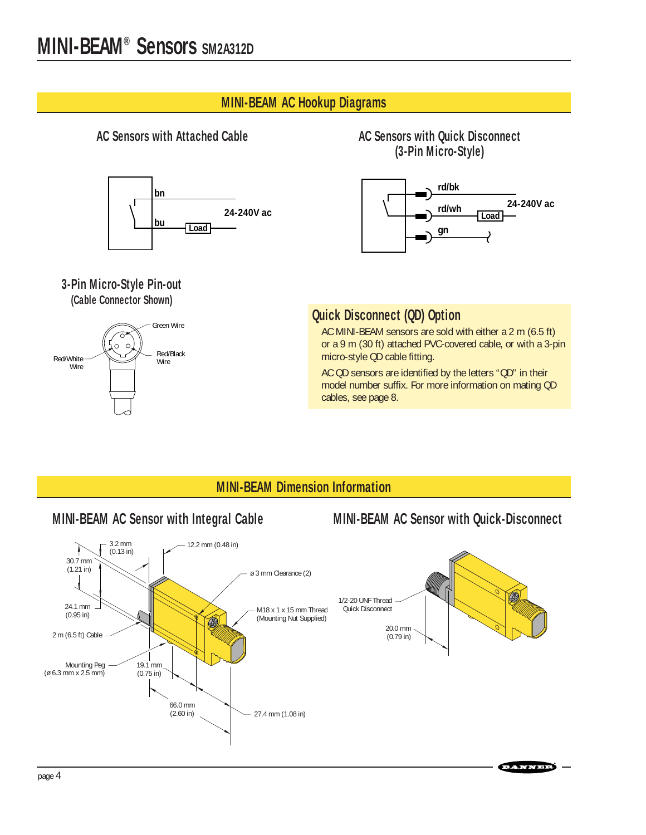#### **MINI-BEAM AC Hookup Diagrams**



#### **3-Pin Micro-Style Pin-out (Cable Connector Shown)**



#### **AC Sensors with Attached Cable AC Sensors with Quick Disconnect (3-Pin Micro-Style)**



### **Quick Disconnect (QD) Option**

AC MINI-BEAM sensors are sold with either a 2 m (6.5 ft) or a 9 m (30 ft) attached PVC-covered cable, or with a 3-pin micro-style QD cable fitting.

AC QD sensors are identified by the letters "QD" in their model number suffix. For more information on mating QD cables, see page 8.

### **MINI-BEAM Dimension Information**

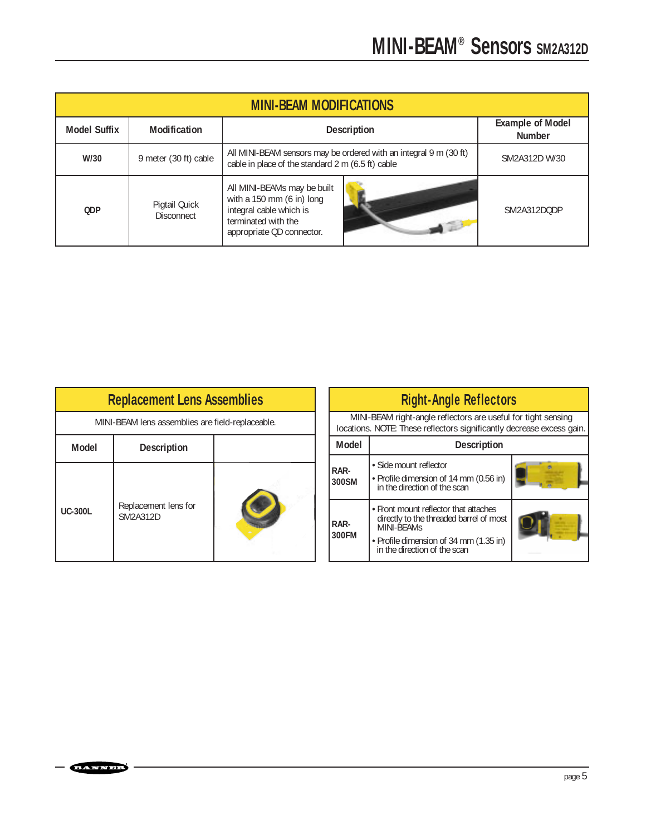| <b>MINI-BEAM MODIFICATIONS</b> |                                    |                                                                                                                                                                |               |
|--------------------------------|------------------------------------|----------------------------------------------------------------------------------------------------------------------------------------------------------------|---------------|
| <b>Model Suffix</b>            | Modification                       | <b>Example of Model</b><br><b>Description</b><br><b>Number</b>                                                                                                 |               |
| W/30                           | 9 meter (30 ft) cable              | All MINI-BEAM sensors may be ordered with an integral 9 m (30 ft)<br>cable in place of the standard 2 m (6.5 ft) cable                                         | SM2A312D W/30 |
| <b>ODP</b>                     | Pigtail Quick<br><b>Disconnect</b> | All MINI-BEAMs may be built<br>with a 150 mm $(6 \text{ in})$ long<br>integral cable which is<br>terminated with the<br>$\sim$ 10<br>appropriate QD connector. | SM2A312DODP   |

| <b>Replacement Lens Assemblies</b> |                                                  |  |  |  |
|------------------------------------|--------------------------------------------------|--|--|--|
|                                    | MINI-BEAM lens assemblies are field-replaceable. |  |  |  |
| Model                              | <b>Description</b>                               |  |  |  |
| <b>UC-300L</b>                     | Replacement lens for<br>SM2A312D                 |  |  |  |

| <b>Right-Angle Reflectors</b>                                                                                                          |                                                                                                                                                                          |  |  |
|----------------------------------------------------------------------------------------------------------------------------------------|--------------------------------------------------------------------------------------------------------------------------------------------------------------------------|--|--|
| MINI-BEAM right-angle reflectors are useful for tight sensing<br>locations. NOTE: These reflectors significantly decrease excess gain. |                                                                                                                                                                          |  |  |
| <b>Model</b><br><b>Description</b>                                                                                                     |                                                                                                                                                                          |  |  |
| RAR-<br>300SM                                                                                                                          | • Side mount reflector<br>• Profile dimension of 14 mm (0.56 in)<br>in the direction of the scan                                                                         |  |  |
| RAR-<br>300FM                                                                                                                          | • Front mount reflector that attaches<br>directly to the threaded barrel of most<br>MINI-BEAMS<br>• Profile dimension of 34 mm (1.35 in)<br>in the direction of the scan |  |  |

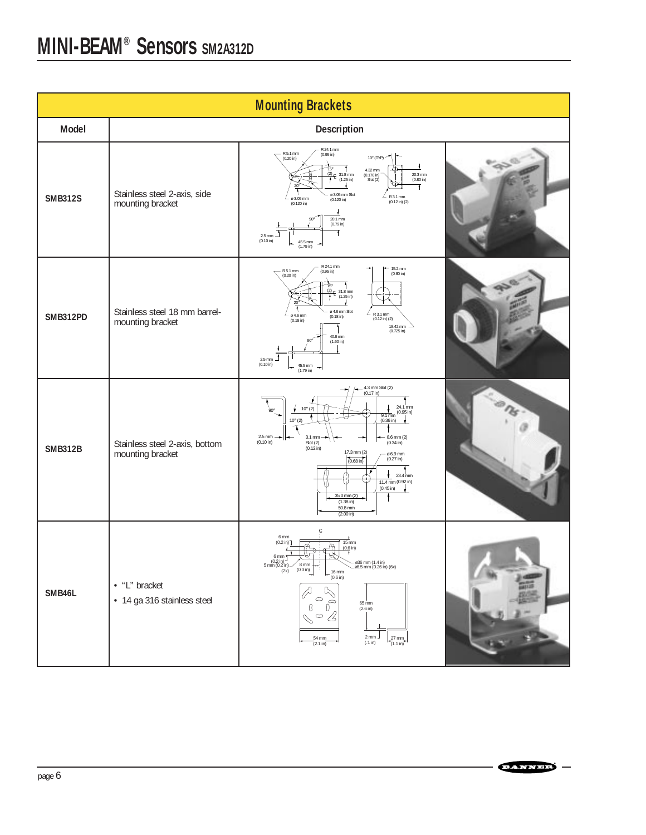| <b>Mounting Brackets</b> |                                                    |                                                                                                                                                                                                                                                                                                                                                                                                                                                                                                                                              |  |  |
|--------------------------|----------------------------------------------------|----------------------------------------------------------------------------------------------------------------------------------------------------------------------------------------------------------------------------------------------------------------------------------------------------------------------------------------------------------------------------------------------------------------------------------------------------------------------------------------------------------------------------------------------|--|--|
| Model                    |                                                    | Description                                                                                                                                                                                                                                                                                                                                                                                                                                                                                                                                  |  |  |
| <b>SMB312S</b>           | Stainless steel 2-axis, side<br>mounting bracket   | R 24.1 mm<br>$\sum_{(0.20 \text{ in})}^{R 5.1 \text{ mm}}$<br>(0.95 in)<br>10° (TYP) ~<br>ለተነ<br>$\begin{array}{c c} \overline{15}^{\circ} & I \\ (2) & 31.8 \text{ mm} \\ \hline 1 & (1.25 \text{ in}) \\ 1 & 1 \end{array}$<br>4.32 mm<br>$20.3 \text{ mm}$<br>(0.80 in)<br>$(0.170 \text{ in})$<br>Slot(2)<br>⊕<br>Ŧ<br>ø 3.05 mm Slot<br>L<br>R 3.1 mm<br>ø 3.05 mm<br>(0.120 in)<br>$(0.12 \text{ in})$ $(2)$<br>$(0.120 \text{ in})$<br>20.1 mm<br>$(0.79 \text{ in})$<br>Ŧ<br>$2.5$ mm<br>(0.10 in)<br>45.5 mm<br>$(1.79 \text{ in})$ |  |  |
| <b>SMB312PD</b>          | Stainless steel 18 mm barrel-<br>mounting bracket  | R 24.1 mm<br>15.2 mm<br>$R 5.1 mm$<br>(0.20 in)<br>(0.95 in)<br>$(0.60 \text{ in})$<br>$\frac{15^{\circ}}{2^{\circ}}$ 31.8 mm<br>$\ddot{\phantom{1}}$<br>$\ddot{\phantom{1}}$<br>ø 4.6 mm Slot<br>$\angle$ R 3.1 mm<br>ø 4.6 mm<br>$(0.18 \text{ in})$<br>$(0.12 \text{ in})$ $(2)$<br>$(0.18 \text{ in})$<br>18.42 mm<br>(0.725 in)<br>40.6 mm<br>(1.60 in)<br>┛<br>2.5 mm<br>(0.10 in)<br>45.5 mm<br>(1.79 in)<br>$\rightarrow$                                                                                                            |  |  |
| <b>SMB312B</b>           | Stainless steel 2-axis, bottom<br>mounting bracket | 4.3 mm Slot (2)<br>(0.17 in)<br>24.1 mm<br>$10^{\circ} (2)$<br>۰,<br><b>GU</b><br>$(0.95 \text{ in})$<br>$9.1 \text{ mm}$<br>$10^{\circ} (2)$<br>$(0.36 \text{ in})$<br>2.5 mm<br>3.1 mm<br>$8.6$ mm $(2)$<br>(0.10 in)<br>Slot (2)<br>(0.12 in)<br>$(0.34 \text{ in})$<br>17.3 mm (2)<br>$06.9$ mm<br>$(0.27 \text{ in})$<br>$(0.68 \text{ in})$<br>$23.4$ <sub>mm</sub><br>۰.<br>$\frac{1}{11.4 \text{ mm}} (0.92 \text{ in})$<br>$(0.45 \text{ in})$<br>35.0 mm (2)<br>î<br>$(1.38 \text{ in})$<br>50.8 mm<br>(2.00 in)                   |  |  |
| SMB46L                   | • "L" bracket<br>· 14 ga 316 stainless steel       | 6 <sub>mm</sub><br>(0.2 in)<br>$15 \text{ mm}$<br>Ä<br>$(0.6)$ in)<br>6 mm<br>$(0.2 \text{ in})$<br>ø36 mm (1.4 in)<br>5 mm $(0.2 \text{ in})$ $\sim$ 0 mm<br>(2x) $(0.3 \text{ in})$<br>٦<br>$\sim$ 06.5 mm (0.26 in) (6x)<br>$-$ 16 mm<br>(0.6 in)<br>$\triangledown$<br>0<br>0<br>$65 \text{ mm}$<br>Ð<br>$(2.6 \text{ in})$<br>$\circ$ 4<br>$2 \, \text{mm}$<br>$\frac{27 \text{ mm}}{(1.1 \text{ in})}$<br>$\frac{54 \text{ mm}}{(2.1 \text{ in})}$<br>$(.1 \text{ in})$                                                                |  |  |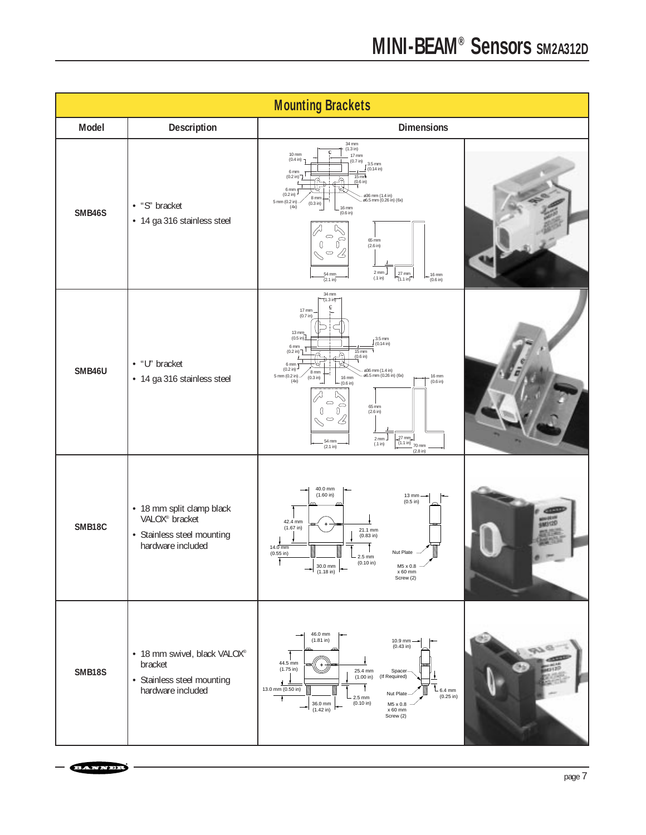|               |                                                                                                            | <b>Mounting Brackets</b>                                                                                                                                                                                                                                                                                                                                                                                                                                                                                                                                                                                                                                             |
|---------------|------------------------------------------------------------------------------------------------------------|----------------------------------------------------------------------------------------------------------------------------------------------------------------------------------------------------------------------------------------------------------------------------------------------------------------------------------------------------------------------------------------------------------------------------------------------------------------------------------------------------------------------------------------------------------------------------------------------------------------------------------------------------------------------|
| Model         | Description                                                                                                | <b>Dimensions</b>                                                                                                                                                                                                                                                                                                                                                                                                                                                                                                                                                                                                                                                    |
| SMB46S        | • "S" bracket<br>• 14 ga 316 stainless steel                                                               | 34 mm<br>(1.3 in)<br>$10 \text{ mm}$<br>$17$ mm<br>$(0.4 \text{ in})$<br>(0.7 in)<br>$-3.5$ mm<br>$(0.14 \text{ in})$<br>6 <sub>mm</sub><br>$15 \text{ m}$<br>(0.2 in)<br>$(0.6 \text{ in})$<br>$6$ mm<br>$(0.2 \text{ in})$<br>— ø36 mm (1.4 in)<br>— ø6.5 mm (0.26 in) (6x)<br>8 mm<br>5 mm (0.2 in).<br>(0.3 in)<br>(4x)<br>$16$ mm<br>$(0.6 \text{ in})$<br>c<br>∊<br>65 mm<br>D.<br>$\left($<br>$(2.6 \text{ in})$<br>$\qquad \qquad \circ$<br>Ī,<br>$\mathcal{L}$<br>$2$ mm $\overline{ }$<br>27 mm<br>$\frac{54}{2.1}$ mm<br>16 mm<br>$(.1 \text{ in})$<br>$7(1.1 \text{ in})$<br>(0.6 in)                                                                    |
| SMB46U        | • "U" bracket<br>· 14 ga 316 stainless steel                                                               | 34 mm<br>$(1.3 \text{ in})$<br>$17 \text{ mm}$<br>(0.7 in)<br>13 mm.<br>$(0.5 \text{ in})$<br>$\int_{0}^{3.5}$ mm<br>6 mm<br>$\frac{15 \text{ mm}}{(0.6 \text{ in})}$<br>$(0.2 \text{ in})$<br>4<br>6 mm<br>$(0.2 \text{ in})$<br>ø36 mm (1.4 in)<br>$\frac{8 \text{ mm}}{(0.3 \text{ in})}$<br>ø6.5 mm (0.26 in) (6x)<br>5 mm $(0.2 \text{ in})$ -<br>16 mm<br>16 mm<br>(4x)<br>$(0.6 \text{ in})$<br>(0.6 in)<br>$\circ$<br>$\Rightarrow$<br>65 mm<br>O<br>U<br>$(2.6 \text{ in})$<br>$\sqrt{2}$<br>$\qquad \qquad \circ$<br>$\mathcal{S}$<br>$27 \, \text{mm}$<br>$2$ mm $-$<br>54 mm<br>(1.1 in)<br>$(.1 \text{ in})$<br>70 mm<br>(2.1 in)<br>$(2.8 \text{ in})$ |
| SMB18C        | • 18 mm split clamp black<br>VALOX <sup>®</sup> bracket<br>· Stainless steel mounting<br>hardware included | 40.0 mm<br>(1.60 in)<br>13 mm<br>$(0.5$ in)<br>42.4 mm<br>(1.67 in)<br>$21.1 \text{ mm}$<br>(0.83 in)<br>$14.0$ mm<br>Nut Plate<br>$(0.55$ in)<br>$2.5$ mm<br>Ŧ<br>(0.10 in)<br>$M5 \times 0.8$ $\times$ 60 mm<br>$\rightarrow$ 30.0 mm $\rightarrow$ $\rightarrow$<br>Screw (2)                                                                                                                                                                                                                                                                                                                                                                                     |
| <b>SMB18S</b> | · 18 mm swivel, black VALOX®<br>bracket<br>· Stainless steel mounting<br>hardware included                 | 46.0 mm<br>(1.81 in)<br>$10.9$ mm $\longrightarrow$<br>(0.43 in)<br>44.5 mm<br>$+$<br>$(1.75 \text{ in})$<br>25.4 mm<br>Spacer-<br>(1.00 in)<br>(If Required)<br>$\frac{1}{2}$<br>13.0 mm (0.50 in)<br>$6.4$ mm<br>Nut Plate<br>$(0.25 \text{ in})$<br>2.5 mm<br>$\ddot{\phantom{1}}$<br>(0.10 in)<br>36.0 mm<br>M5 x 0.8<br>(1.42 in)<br>x 60 mm<br>Screw (2)                                                                                                                                                                                                                                                                                                       |